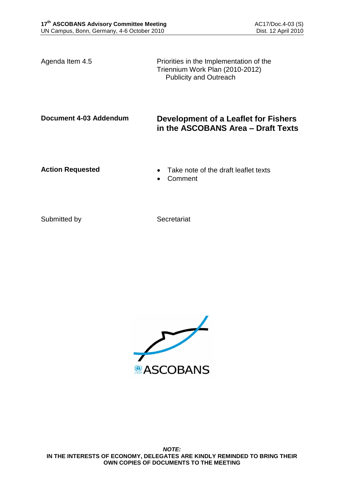Agenda Item 4.5 Priorities in the Implementation of the Triennium Work Plan (2010-2012) Publicity and Outreach

# **Document 4-03 Addendum Development of a Leaflet for Fishers in the ASCOBANS Area – Draft Texts**

- Action Requested **Calculated Take note of the draft leaflet texts** 
	- Comment

Submitted by Secretariat

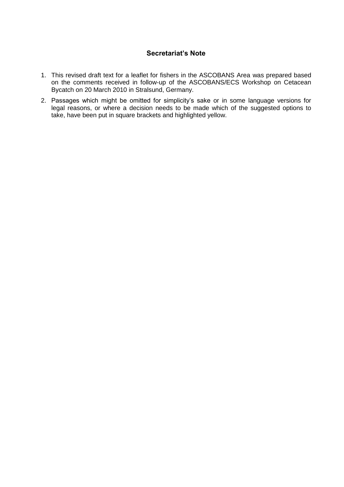# **Secretariat's Note**

- 1. This revised draft text for a leaflet for fishers in the ASCOBANS Area was prepared based on the comments received in follow-up of the ASCOBANS/ECS Workshop on Cetacean Bycatch on 20 March 2010 in Stralsund, Germany.
- 2. Passages which might be omitted for simplicity's sake or in some language versions for legal reasons, or where a decision needs to be made which of the suggested options to take, have been put in square brackets and highlighted yellow.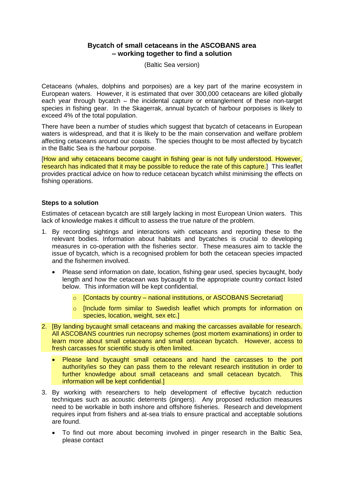# **Bycatch of small cetaceans in the ASCOBANS area – working together to find a solution**

(Baltic Sea version)

Cetaceans (whales, dolphins and porpoises) are a key part of the marine ecosystem in European waters. However, it is estimated that over 300,000 cetaceans are killed globally each year through bycatch – the incidental capture or entanglement of these non-target species in fishing gear. In the Skagerrak, annual bycatch of harbour porpoises is likely to exceed 4% of the total population.

There have been a number of studies which suggest that bycatch of cetaceans in European waters is widespread, and that it is likely to be the main conservation and welfare problem affecting cetaceans around our coasts. The species thought to be most affected by bycatch in the Baltic Sea is the harbour porpoise.

[How and why cetaceans become caught in fishing gear is not fully understood. However, research has indicated that it may be possible to reduce the rate of this capture.] This leaflet provides practical advice on how to reduce cetacean bycatch whilst minimising the effects on fishing operations.

### **Steps to a solution**

Estimates of cetacean bycatch are still largely lacking in most European Union waters. This lack of knowledge makes it difficult to assess the true nature of the problem.

- 1. By recording sightings and interactions with cetaceans and reporting these to the relevant bodies. Information about habitats and bycatches is crucial to developing measures in co-operation with the fisheries sector. These measures aim to tackle the issue of bycatch, which is a recognised problem for both the cetacean species impacted and the fishermen involved.
	- Please send information on date, location, fishing gear used, species bycaught, body length and how the cetacean was bycaught to the appropriate country contact listed below. This information will be kept confidential.
		- $\circ$  [Contacts by country national institutions, or ASCOBANS Secretariat]
		- o [Include form similar to Swedish leaflet which prompts for information on species, location, weight, sex etc.]
- 2. [By landing bycaught small cetaceans and making the carcasses available for research. All ASCOBANS countries run necropsy schemes (post mortem examinations) in order to learn more about small cetaceans and small cetacean bycatch. However, access to fresh carcasses for scientific study is often limited.
	- Please land bycaught small cetaceans and hand the carcasses to the port authority/ies so they can pass them to the relevant research institution in order to further knowledge about small cetaceans and small cetacean bycatch. This information will be kept confidential.]
- 3. By working with researchers to help development of effective bycatch reduction techniques such as acoustic deterrents (pingers). Any proposed reduction measures need to be workable in both inshore and offshore fisheries. Research and development requires input from fishers and at-sea trials to ensure practical and acceptable solutions are found.
	- To find out more about becoming involved in pinger research in the Baltic Sea, please contact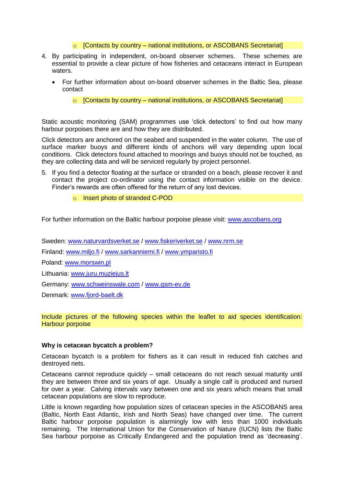$\circ$  [Contacts by country – national institutions, or ASCOBANS Secretariat]

- 4. By participating in independent, on-board observer schemes. These schemes are essential to provide a clear picture of how fisheries and cetaceans interact in European waters.
	- For further information about on-board observer schemes in the Baltic Sea, please contact

 $\circ$  [Contacts by country – national institutions, or ASCOBANS Secretariat]

Static acoustic monitoring (SAM) programmes use 'click detectors' to find out how many harbour porpoises there are and how they are distributed.

Click detectors are anchored on the seabed and suspended in the water column. The use of surface marker buoys and different kinds of anchors will vary depending upon local conditions. Click detectors found attached to moorings and buoys should not be touched, as they are collecting data and will be serviced regularly by project personnel.

- 5. If you find a detector floating at the surface or stranded on a beach, please recover it and contact the project co-ordinator using the contact information visible on the device. Finder's rewards are often offered for the return of any lost devices.
	- o Insert photo of stranded C-POD

For further information on the Baltic harbour porpoise please visit: [www.ascobans.org](http://www.ascobans.org/)

Sweden: [www.naturvardsverket.se](http://www.naturvardsverket.se/) / [www.fiskeriverket.se](http://www.fiskeriverket.se/) / [www.nrm.se](http://www.nrm.se/)

Finland: [www.miljo.fi](http://www.miljo.fi/) / [www.sarkanniemi.fi](http://www.sarkanniemi.fi/) / [www.ymparisto.fi](http://www.ymparisto.fi/)

Poland: [www.morswin.pl](http://www.morswin.pl/)

Lithuania: [www.juru.muziejus.lt](http://www.juru.muziejus.lt/)

Germany: [www.schweinswale.com](http://www.schweinswale.com/) / [www.gsm-ev.de](http://www.gsm-ev.de/)

Denmark: [www.fjord-baelt.dk](http://www.fjord-baelt.dk/)

Include pictures of the following species within the leaflet to aid species identification: Harbour porpoise

#### **Why is cetacean bycatch a problem?**

Cetacean bycatch is a problem for fishers as it can result in reduced fish catches and destroyed nets.

Cetaceans cannot reproduce quickly – small cetaceans do not reach sexual maturity until they are between three and six years of age. Usually a single calf is produced and nursed for over a year. Calving intervals vary between one and six years which means that small cetacean populations are slow to reproduce.

Little is known regarding how population sizes of cetacean species in the ASCOBANS area (Baltic, North East Atlantic, Irish and North Seas) have changed over time. The current Baltic harbour porpoise population is alarmingly low with less than 1000 individuals remaining. The International Union for the Conservation of Nature (IUCN) lists the Baltic Sea harbour porpoise as Critically Endangered and the population trend as 'decreasing'.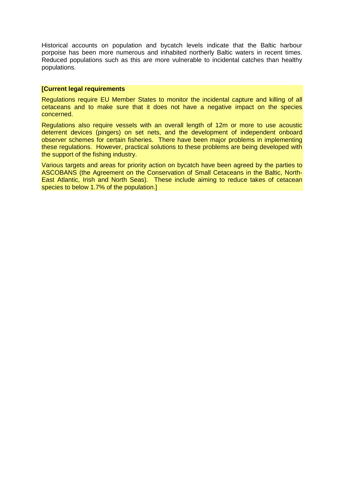Historical accounts on population and bycatch levels indicate that the Baltic harbour porpoise has been more numerous and inhabited northerly Baltic waters in recent times. Reduced populations such as this are more vulnerable to incidental catches than healthy populations.

### **[Current legal requirements**

Regulations require EU Member States to monitor the incidental capture and killing of all cetaceans and to make sure that it does not have a negative impact on the species concerned.

Regulations also require vessels with an overall length of 12m or more to use acoustic deterrent devices (pingers) on set nets, and the development of independent onboard observer schemes for certain fisheries. There have been major problems in implementing these regulations. However, practical solutions to these problems are being developed with the support of the fishing industry.

Various targets and areas for priority action on bycatch have been agreed by the parties to ASCOBANS (the Agreement on the Conservation of Small Cetaceans in the Baltic, North-East Atlantic, Irish and North Seas). These include aiming to reduce takes of cetacean species to below 1.7% of the population.]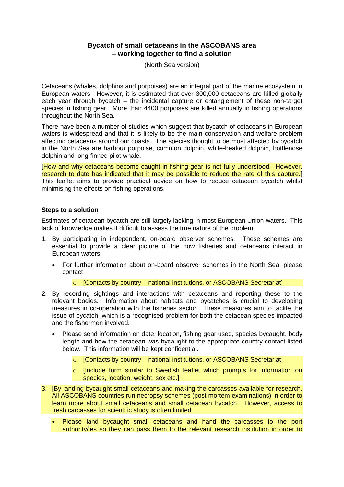# **Bycatch of small cetaceans in the ASCOBANS area – working together to find a solution**

(North Sea version)

Cetaceans (whales, dolphins and porpoises) are an integral part of the marine ecosystem in European waters. However, it is estimated that over 300,000 cetaceans are killed globally each year through bycatch – the incidental capture or entanglement of these non-target species in fishing gear. More than 4400 porpoises are killed annually in fishing operations throughout the North Sea.

There have been a number of studies which suggest that bycatch of cetaceans in European waters is widespread and that it is likely to be the main conservation and welfare problem affecting cetaceans around our coasts. The species thought to be most affected by bycatch in the North Sea are harbour porpoise, common dolphin, white-beaked dolphin, bottlenose dolphin and long-finned pilot whale.

[How and why cetaceans become caught in fishing gear is not fully understood. However, research to date has indicated that it may be possible to reduce the rate of this capture.] This leaflet aims to provide practical advice on how to reduce cetacean bycatch whilst minimising the effects on fishing operations.

### **Steps to a solution**

Estimates of cetacean bycatch are still largely lacking in most European Union waters. This lack of knowledge makes it difficult to assess the true nature of the problem.

- 1. By participating in independent, on-board observer schemes. These schemes are essential to provide a clear picture of the how fisheries and cetaceans interact in European waters.
	- For further information about on-board observer schemes in the North Sea, please contact
		- $\circ$  [Contacts by country national institutions, or ASCOBANS Secretariat]
- 2. By recording sightings and interactions with cetaceans and reporting these to the relevant bodies. Information about habitats and bycatches is crucial to developing measures in co-operation with the fisheries sector. These measures aim to tackle the issue of bycatch, which is a recognised problem for both the cetacean species impacted and the fishermen involved.
	- Please send information on date, location, fishing gear used, species bycaught, body length and how the cetacean was bycaught to the appropriate country contact listed below. This information will be kept confidential.
		- $\circ$  [Contacts by country national institutions, or ASCOBANS Secretariat]
		- o [Include form similar to Swedish leaflet which prompts for information on species, location, weight, sex etc.]
- 3. [By landing bycaught small cetaceans and making the carcasses available for research. All ASCOBANS countries run necropsy schemes (post mortem examinations) in order to learn more about small cetaceans and small cetacean bycatch. However, access to fresh carcasses for scientific study is often limited.
	- Please land bycaught small cetaceans and hand the carcasses to the port authority/ies so they can pass them to the relevant research institution in order to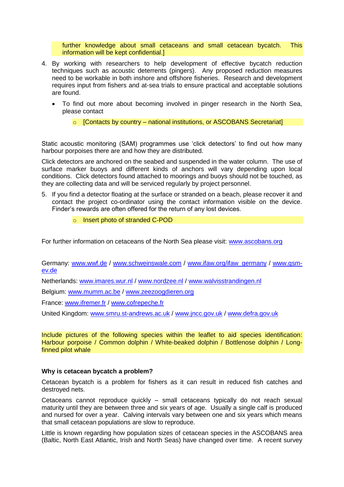further knowledge about small cetaceans and small cetacean bycatch. This information will be kept confidential.]

- 4. By working with researchers to help development of effective bycatch reduction techniques such as acoustic deterrents (pingers). Any proposed reduction measures need to be workable in both inshore and offshore fisheries. Research and development requires input from fishers and at-sea trials to ensure practical and acceptable solutions are found.
	- To find out more about becoming involved in pinger research in the North Sea, please contact
		- $\circ$  [Contacts by country national institutions, or ASCOBANS Secretariat]

Static acoustic monitoring (SAM) programmes use 'click detectors' to find out how many harbour porpoises there are and how they are distributed.

Click detectors are anchored on the seabed and suspended in the water column. The use of surface marker buoys and different kinds of anchors will vary depending upon local conditions. Click detectors found attached to moorings and buoys should not be touched, as they are collecting data and will be serviced regularly by project personnel.

- 5. If you find a detector floating at the surface or stranded on a beach, please recover it and contact the project co-ordinator using the contact information visible on the device. Finder's rewards are often offered for the return of any lost devices.
	- o Insert photo of stranded C-POD

For further information on cetaceans of the North Sea please visit: [www.ascobans.org](http://www.ascobans.org/)

Germany: [www.wwf.de](http://www.wwf.de/) / [www.schweinswale.com](http://www.schweinswale.com/) / [www.ifaw.org/ifaw\\_germany](http://www.ifaw.org/ifaw_germany) / [www.gsm](http://www.gsm-ev.de/)[ev.de](http://www.gsm-ev.de/)

Netherlands: [www.imares.wur.nl](http://www.imares.wur.nl/) / [www.nordzee.nl](http://www.nordzee.nl/) / [www.walvisstrandingen.nl](http://www.walvisstrandingen.nl/)

Belgium: [www.mumm.ac.be](http://www.mumm.ac.be/) / [www.zeezoogdieren.org](http://www.zeezoogdieren.org/)

France: [www.ifremer.fr](http://www.ifremer.fr/) / [www.cofrepeche.fr](http://www.cofrepeche.fr/)

United Kingdom: [www.smru.st-andrews.ac.uk](http://www.smru.st-andrews.ac.uk/) / [www.jncc.gov.uk](http://www.jncc.gov.uk/) / [www.defra.gov.uk](http://www.defra.gov.uk/)

Include pictures of the following species within the leaflet to aid species identification: Harbour porpoise / Common dolphin / White-beaked dolphin / Bottlenose dolphin / Longfinned pilot whale

#### **Why is cetacean bycatch a problem?**

Cetacean bycatch is a problem for fishers as it can result in reduced fish catches and destroyed nets.

Cetaceans cannot reproduce quickly – small cetaceans typically do not reach sexual maturity until they are between three and six years of age. Usually a single calf is produced and nursed for over a year. Calving intervals vary between one and six years which means that small cetacean populations are slow to reproduce.

Little is known regarding how population sizes of cetacean species in the ASCOBANS area (Baltic, North East Atlantic, Irish and North Seas) have changed over time. A recent survey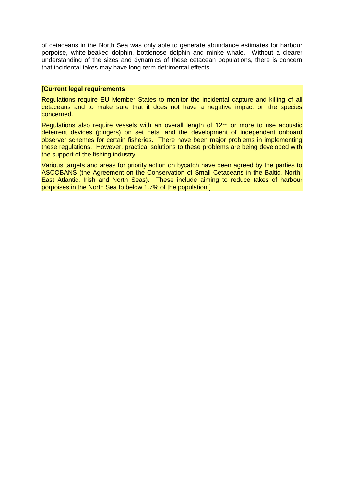of cetaceans in the North Sea was only able to generate abundance estimates for harbour porpoise, white-beaked dolphin, bottlenose dolphin and minke whale. Without a clearer understanding of the sizes and dynamics of these cetacean populations, there is concern that incidental takes may have long-term detrimental effects.

### **[Current legal requirements**

Regulations require EU Member States to monitor the incidental capture and killing of all cetaceans and to make sure that it does not have a negative impact on the species concerned.

Regulations also require vessels with an overall length of 12m or more to use acoustic deterrent devices (pingers) on set nets, and the development of independent onboard observer schemes for certain fisheries. There have been major problems in implementing these regulations. However, practical solutions to these problems are being developed with the support of the fishing industry.

Various targets and areas for priority action on bycatch have been agreed by the parties to ASCOBANS (the Agreement on the Conservation of Small Cetaceans in the Baltic, North-East Atlantic, Irish and North Seas). These include aiming to reduce takes of harbour porpoises in the North Sea to below 1.7% of the population.]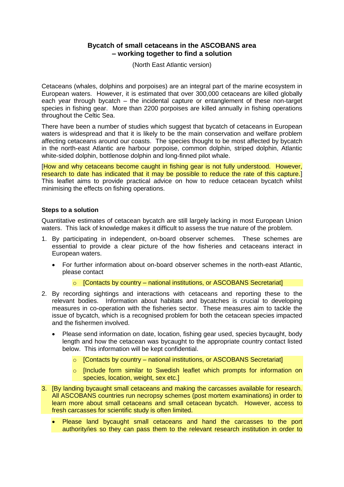# **Bycatch of small cetaceans in the ASCOBANS area – working together to find a solution**

(North East Atlantic version)

Cetaceans (whales, dolphins and porpoises) are an integral part of the marine ecosystem in European waters. However, it is estimated that over 300,000 cetaceans are killed globally each year through bycatch – the incidental capture or entanglement of these non-target species in fishing gear. More than 2200 porpoises are killed annually in fishing operations throughout the Celtic Sea.

There have been a number of studies which suggest that bycatch of cetaceans in European waters is widespread and that it is likely to be the main conservation and welfare problem affecting cetaceans around our coasts. The species thought to be most affected by bycatch in the north-east Atlantic are harbour porpoise, common dolphin, striped dolphin, Atlantic white-sided dolphin, bottlenose dolphin and long-finned pilot whale.

[How and why cetaceans become caught in fishing gear is not fully understood. However, research to date has indicated that it may be possible to reduce the rate of this capture.] This leaflet aims to provide practical advice on how to reduce cetacean bycatch whilst minimising the effects on fishing operations.

### **Steps to a solution**

Quantitative estimates of cetacean bycatch are still largely lacking in most European Union waters. This lack of knowledge makes it difficult to assess the true nature of the problem.

- 1. By participating in independent, on-board observer schemes. These schemes are essential to provide a clear picture of the how fisheries and cetaceans interact in European waters.
	- For further information about on-board observer schemes in the north-east Atlantic, please contact
		- $\circ$  [Contacts by country national institutions, or ASCOBANS Secretariat]
- 2. By recording sightings and interactions with cetaceans and reporting these to the relevant bodies. Information about habitats and bycatches is crucial to developing measures in co-operation with the fisheries sector. These measures aim to tackle the issue of bycatch, which is a recognised problem for both the cetacean species impacted and the fishermen involved.
	- Please send information on date, location, fishing gear used, species bycaught, body length and how the cetacean was bycaught to the appropriate country contact listed below. This information will be kept confidential.
		- $\circ$  [Contacts by country national institutions, or ASCOBANS Secretariat]
		- o [Include form similar to Swedish leaflet which prompts for information on species, location, weight, sex etc.]
- 3. [By landing bycaught small cetaceans and making the carcasses available for research. All ASCOBANS countries run necropsy schemes (post mortem examinations) in order to learn more about small cetaceans and small cetacean bycatch. However, access to fresh carcasses for scientific study is often limited.
	- Please land bycaught small cetaceans and hand the carcasses to the port authority/ies so they can pass them to the relevant research institution in order to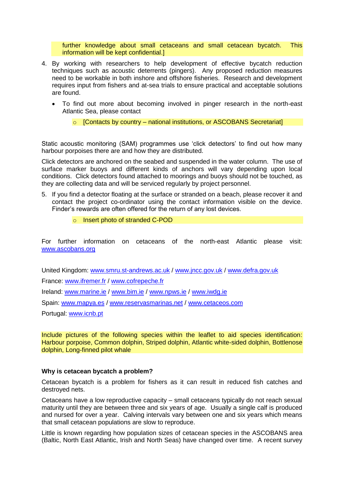further knowledge about small cetaceans and small cetacean bycatch. This information will be kept confidential.]

- 4. By working with researchers to help development of effective bycatch reduction techniques such as acoustic deterrents (pingers). Any proposed reduction measures need to be workable in both inshore and offshore fisheries. Research and development requires input from fishers and at-sea trials to ensure practical and acceptable solutions are found.
	- To find out more about becoming involved in pinger research in the north-east Atlantic Sea, please contact
		- $\circ$  [Contacts by country national institutions, or ASCOBANS Secretariat]

Static acoustic monitoring (SAM) programmes use 'click detectors' to find out how many harbour porpoises there are and how they are distributed.

Click detectors are anchored on the seabed and suspended in the water column. The use of surface marker buoys and different kinds of anchors will vary depending upon local conditions. Click detectors found attached to moorings and buoys should not be touched, as they are collecting data and will be serviced regularly by project personnel.

- 5. If you find a detector floating at the surface or stranded on a beach, please recover it and contact the project co-ordinator using the contact information visible on the device. Finder's rewards are often offered for the return of any lost devices.
	- o Insert photo of stranded C-POD

For further information on cetaceans of the north-east Atlantic please visit: [www.ascobans.org](http://www.ascobans.org/)

United Kingdom: [www.smru.st-andrews.ac.uk](http://www.smru.st-andrews.ac.uk/) / [www.jncc.gov.uk](http://www.jncc.gov.uk/) / [www.defra.gov.uk](http://www.defra.gov.uk/)

France: [www.ifremer.fr](http://www.ifremer.fr/) / [www.cofrepeche.fr](http://www.cofrepeche.fr/)

Ireland: [www.marine.ie](http://www.marine.ie/) / [www.bim.ie](http://www.bim.ie/) / [www.npws.ie](http://www.ifaw.org/ifaw_germany) / www.iwdq.ie

Spain: [www.mapya.es](http://www.mapya.es/) / [www.reservasmarinas.net](http://www.reservasmarinas.net/) / [www.cetaceos.com](http://www.cetaceos.com/)

Portugal: [www.icnb.pt](http://www.icnb.pt/)

Include pictures of the following species within the leaflet to aid species identification: Harbour porpoise, Common dolphin, Striped dolphin, Atlantic white-sided dolphin, Bottlenose dolphin, Long-finned pilot whale

#### **Why is cetacean bycatch a problem?**

Cetacean bycatch is a problem for fishers as it can result in reduced fish catches and destroyed nets.

Cetaceans have a low reproductive capacity – small cetaceans typically do not reach sexual maturity until they are between three and six years of age. Usually a single calf is produced and nursed for over a year. Calving intervals vary between one and six years which means that small cetacean populations are slow to reproduce.

Little is known regarding how population sizes of cetacean species in the ASCOBANS area (Baltic, North East Atlantic, Irish and North Seas) have changed over time. A recent survey